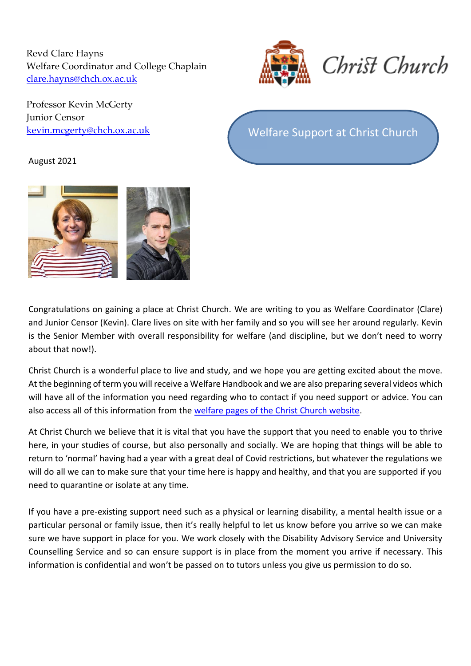Revd Clare Hayns Welfare Coordinator and College Chaplain [clare.hayns@chch.ox.ac.uk](mailto:clare.hayns@chch.ox.ac.uk) 



Professor Kevin McGerty Junior Censor

**[kevin.mcgerty@chch.ox.ac.uk](mailto:kevin.mcgerty@chch.ox.ac.uk)** Welfare Support at Christ Church

## August 2021



Congratulations on gaining a place at Christ Church. We are writing to you as Welfare Coordinator (Clare) and Junior Censor (Kevin). Clare lives on site with her family and so you will see her around regularly. Kevin is the Senior Member with overall responsibility for welfare (and discipline, but we don't need to worry about that now!).

Christ Church is a wonderful place to live and study, and we hope you are getting excited about the move. At the beginning of term you will receive a Welfare Handbook and we are also preparing several videos which will have all of the information you need regarding who to contact if you need support or advice. You can also access all of this information from the [welfare pages of the Christ Church website.](https://www.chch.ox.ac.uk/welfare-support-christ-church)

At Christ Church we believe that it is vital that you have the support that you need to enable you to thrive here, in your studies of course, but also personally and socially. We are hoping that things will be able to return to 'normal' having had a year with a great deal of Covid restrictions, but whatever the regulations we will do all we can to make sure that your time here is happy and healthy, and that you are supported if you need to quarantine or isolate at any time.

If you have a pre-existing support need such as a physical or learning disability, a mental health issue or a particular personal or family issue, then it's really helpful to let us know before you arrive so we can make sure we have support in place for you. We work closely with the Disability Advisory Service and University Counselling Service and so can ensure support is in place from the moment you arrive if necessary. This information is confidential and won't be passed on to tutors unless you give us permission to do so.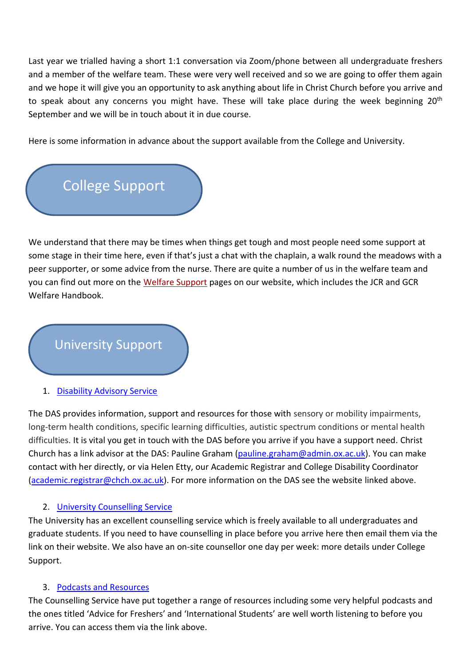Last year we trialled having a short 1:1 conversation via Zoom/phone between all undergraduate freshers and a member of the welfare team. These were very well received and so we are going to offer them again and we hope it will give you an opportunity to ask anything about life in Christ Church before you arrive and to speak about any concerns you might have. These will take place during the week beginning 20<sup>th</sup> September and we will be in touch about it in due course.

Here is some information in advance about the support available from the College and University.



We understand that there may be times when things get tough and most people need some support at some stage in their time here, even if that's just a chat with the chaplain, a walk round the meadows with a peer supporter, or some advice from the nurse. There are quite a number of us in the welfare team and you can find out more on the [Welfare Support](https://www.chch.ox.ac.uk/welfare-support-christ-church) pages on our website, which includes the JCR and GCR Welfare Handbook.

## University Support

1. [Disability Advisory Service](https://www.ox.ac.uk/students/welfare/disability?wssl=1)

The DAS provides information, support and resources for those with sensory or mobility impairments, long-term health conditions, specific learning difficulties, autistic spectrum conditions or mental health difficulties. It is vital you get in touch with the DAS before you arrive if you have a support need. Christ Church has a link advisor at the DAS: Pauline Graham [\(pauline.graham@admin.ox.ac.uk\)](mailto:pauline.graham@admin.ox.ac.uk). You can make contact with her directly, or via Helen Etty, our Academic Registrar and College Disability Coordinator [\(academic.registrar@chch.ox.ac.uk\)](mailto:academic.registrar@chch.ox.ac.uk). For more information on the DAS see the website linked above.

## 2. [University Counselling Service](https://www.ox.ac.uk/students/welfare/counselling?wssl=1)

The University has an excellent counselling service which is freely available to all undergraduates and graduate students. If you need to have counselling in place before you arrive here then email them via the link on their website. We also have an on-site counsellor one day per week: more details under College Support.

## 3. [Podcasts and Resources](https://www.ox.ac.uk/students/welfare/counselling/self-help/podcasts)

The Counselling Service have put together a range of resources including some very helpful podcasts and the ones titled 'Advice for Freshers' and 'International Students' are well worth listening to before you arrive. You can access them via the link above.